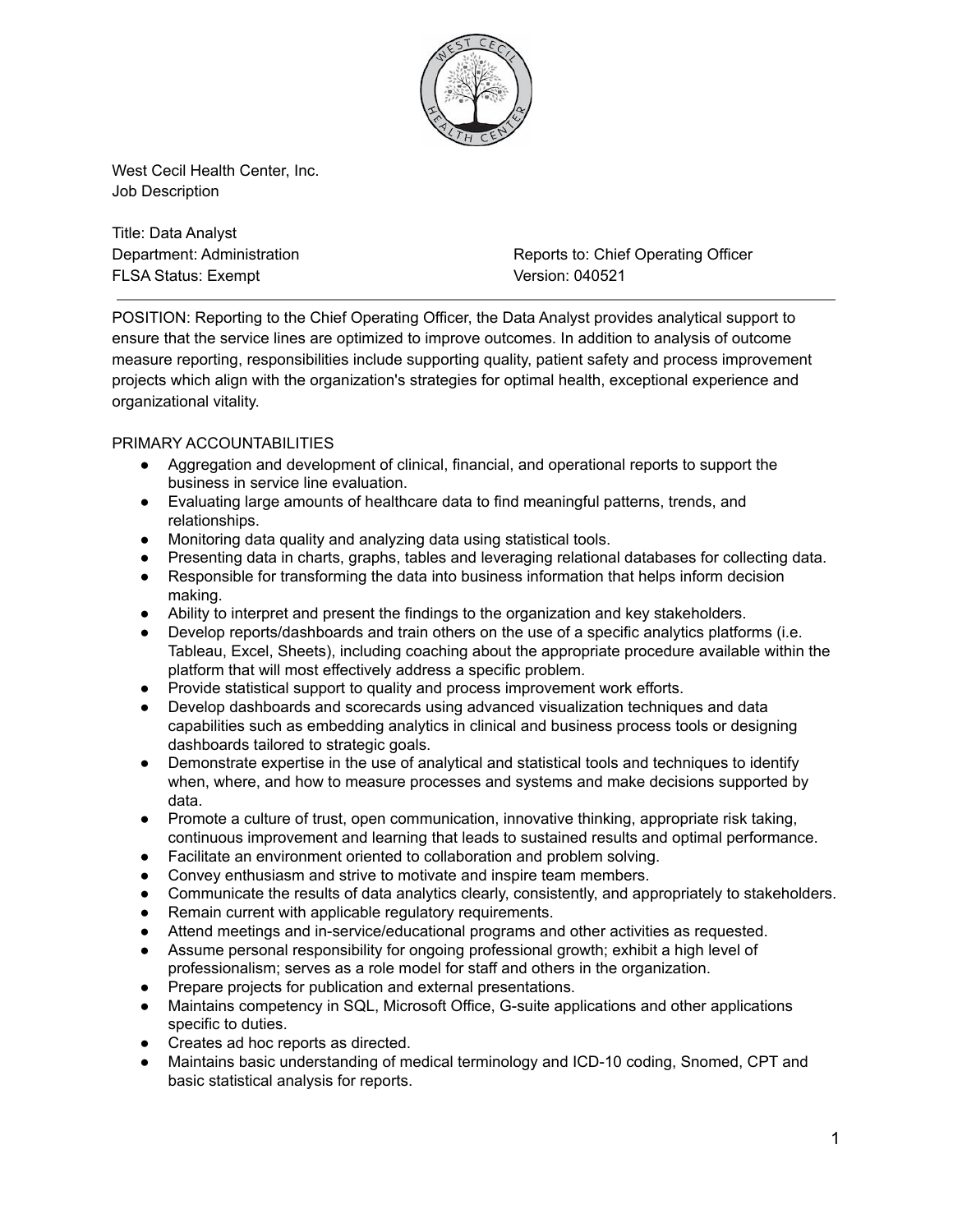

West Cecil Health Center, Inc. Job Description

Title: Data Analyst FLSA Status: Exempt Version: 040521

Department: Administration **Reports** Reports to: Chief Operating Officer

POSITION: Reporting to the Chief Operating Officer, the Data Analyst provides analytical support to ensure that the service lines are optimized to improve outcomes. In addition to analysis of outcome measure reporting, responsibilities include supporting quality, patient safety and process improvement projects which align with the organization's strategies for optimal health, exceptional experience and organizational vitality.

# PRIMARY ACCOUNTABILITIES

- Aggregation and development of clinical, financial, and operational reports to support the business in service line evaluation.
- Evaluating large amounts of healthcare data to find meaningful patterns, trends, and relationships.
- Monitoring data quality and analyzing data using statistical tools.
- Presenting data in charts, graphs, tables and leveraging relational databases for collecting data.
- Responsible for transforming the data into business information that helps inform decision making.
- Ability to interpret and present the findings to the organization and key stakeholders.
- Develop reports/dashboards and train others on the use of a specific analytics platforms (i.e. Tableau, Excel, Sheets), including coaching about the appropriate procedure available within the platform that will most effectively address a specific problem.
- Provide statistical support to quality and process improvement work efforts.
- Develop dashboards and scorecards using advanced visualization techniques and data capabilities such as embedding analytics in clinical and business process tools or designing dashboards tailored to strategic goals.
- Demonstrate expertise in the use of analytical and statistical tools and techniques to identify when, where, and how to measure processes and systems and make decisions supported by data.
- Promote a culture of trust, open communication, innovative thinking, appropriate risk taking, continuous improvement and learning that leads to sustained results and optimal performance.
- Facilitate an environment oriented to collaboration and problem solving.
- Convey enthusiasm and strive to motivate and inspire team members.
- Communicate the results of data analytics clearly, consistently, and appropriately to stakeholders.
- Remain current with applicable regulatory requirements.
- Attend meetings and in-service/educational programs and other activities as requested.
- Assume personal responsibility for ongoing professional growth; exhibit a high level of professionalism; serves as a role model for staff and others in the organization.
- Prepare projects for publication and external presentations.
- Maintains competency in SQL, Microsoft Office, G-suite applications and other applications specific to duties.
- Creates ad hoc reports as directed.
- Maintains basic understanding of medical terminology and ICD-10 coding, Snomed, CPT and basic statistical analysis for reports.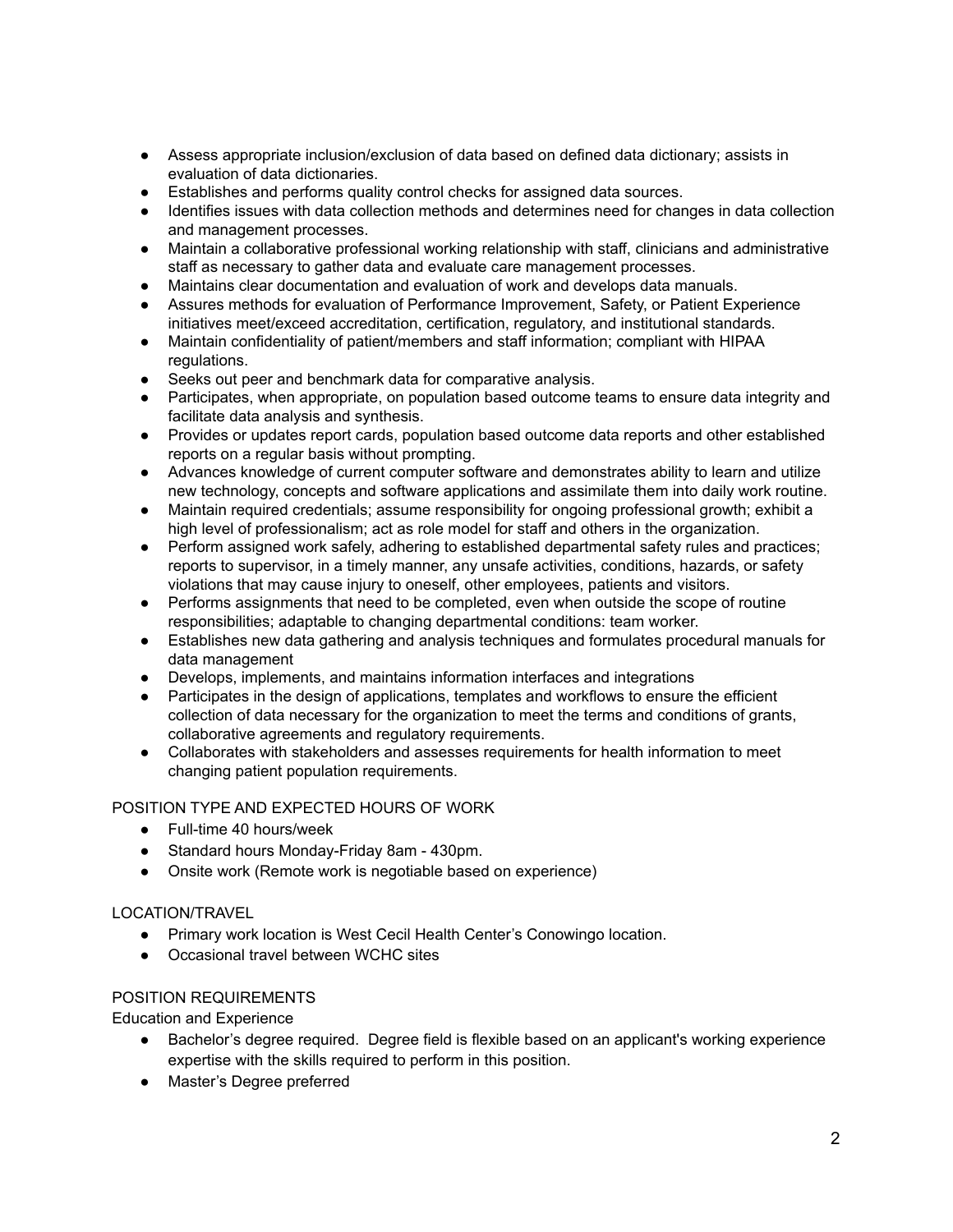- Assess appropriate inclusion/exclusion of data based on defined data dictionary; assists in evaluation of data dictionaries.
- Establishes and performs quality control checks for assigned data sources.
- Identifies issues with data collection methods and determines need for changes in data collection and management processes.
- Maintain a collaborative professional working relationship with staff, clinicians and administrative staff as necessary to gather data and evaluate care management processes.
- Maintains clear documentation and evaluation of work and develops data manuals.
- Assures methods for evaluation of Performance Improvement, Safety, or Patient Experience initiatives meet/exceed accreditation, certification, regulatory, and institutional standards.
- Maintain confidentiality of patient/members and staff information; compliant with HIPAA regulations.
- Seeks out peer and benchmark data for comparative analysis.
- Participates, when appropriate, on population based outcome teams to ensure data integrity and facilitate data analysis and synthesis.
- Provides or updates report cards, population based outcome data reports and other established reports on a regular basis without prompting.
- Advances knowledge of current computer software and demonstrates ability to learn and utilize new technology, concepts and software applications and assimilate them into daily work routine.
- Maintain required credentials; assume responsibility for ongoing professional growth; exhibit a high level of professionalism; act as role model for staff and others in the organization.
- Perform assigned work safely, adhering to established departmental safety rules and practices; reports to supervisor, in a timely manner, any unsafe activities, conditions, hazards, or safety violations that may cause injury to oneself, other employees, patients and visitors.
- Performs assignments that need to be completed, even when outside the scope of routine responsibilities; adaptable to changing departmental conditions: team worker.
- Establishes new data gathering and analysis techniques and formulates procedural manuals for data management
- Develops, implements, and maintains information interfaces and integrations
- Participates in the design of applications, templates and workflows to ensure the efficient collection of data necessary for the organization to meet the terms and conditions of grants, collaborative agreements and regulatory requirements.
- Collaborates with stakeholders and assesses requirements for health information to meet changing patient population requirements.

# POSITION TYPE AND EXPECTED HOURS OF WORK

- Full-time 40 hours/week
- Standard hours Monday-Friday 8am 430pm.
- Onsite work (Remote work is negotiable based on experience)

# LOCATION/TRAVEL

- Primary work location is West Cecil Health Center's Conowingo location.
- Occasional travel between WCHC sites

## POSITION REQUIREMENTS

Education and Experience

- Bachelor's degree required. Degree field is flexible based on an applicant's working experience expertise with the skills required to perform in this position.
- Master's Degree preferred